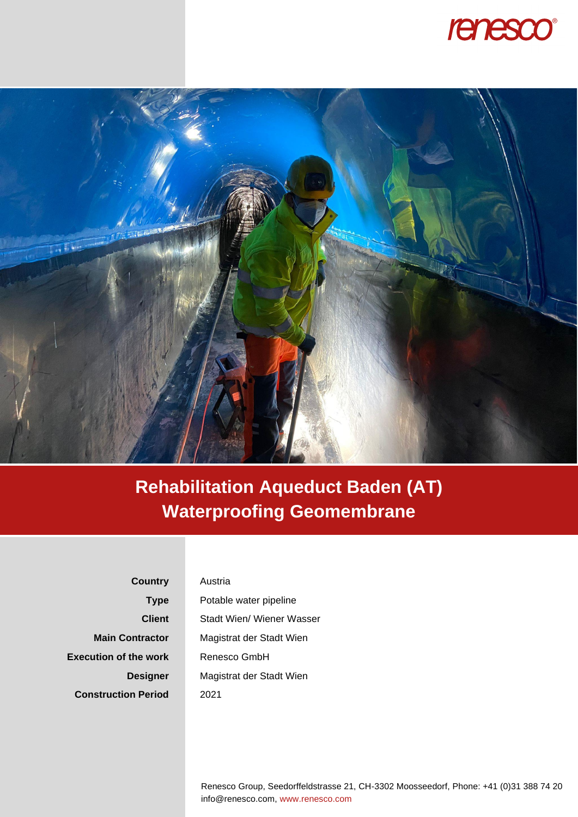



## **Rehabilitation Aqueduct Baden (AT) Waterproofing Geomembrane**

**Country Type Client Main Contractor Execution of the work Designer Construction Period**

## Austria

Potable water pipeline Stadt Wien/ Wiener Wasser Magistrat der Stadt Wien Renesco GmbH Magistrat der Stadt Wien 2021